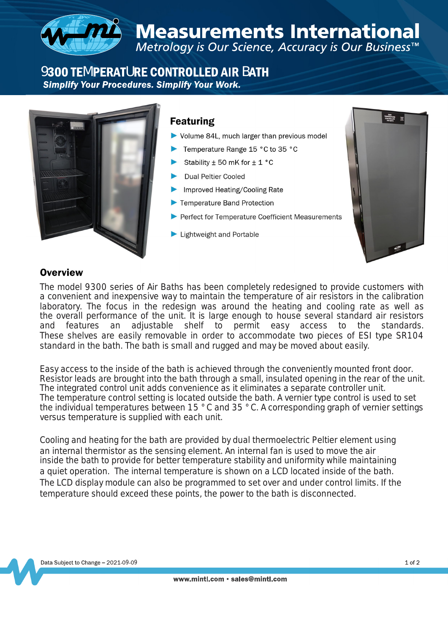

# 9300 TEMPERATURE CONTROLLED AIR BATH<br>Simplify Your Procedures. Simplify Your Work.



### **Featuring**

- Volume 84L, much larger than previous model
- Temperature Range 15 °C to 35 °C
- Stability  $\pm$  50 mK for  $\pm$  1 °C
- **Dual Peltier Cooled**
- Improved Heating/Cooling Rate
- Temperature Band Protection
- Perfect for Temperature Coefficient Measurements
- Lightweight and Portable



#### **Overview**

The model 9300 series of Air Baths has been completely redesigned to provide customers with a convenient and inexpensive way to maintain the temperature of air resistors in the calibration laboratory. The focus in the redesign was around the heating and cooling rate as well as the overall performance of the unit. It is large enough to house several standard air resistors and features an adjustable shelf to permit easy access to the standards. These shelves are easily removable in order to accommodate two pieces of ESI type SR104 standard in the bath. The bath is small and rugged and may be moved about easily.

Easy access to the inside of the bath is achieved through the conveniently mounted front door. Resistor leads are brought into the bath through a small, insulated opening in the rear of the unit. The integrated control unit adds convenience as it eliminates a separate controller unit. The temperature control setting is located outside the bath. A vernier type control is used to set the individual temperatures between 15 °C and 35 °C. A corresponding graph of vernier settings versus temperature is supplied with each unit.

Cooling and heating for the bath are provided by dual thermoelectric Peltier element using an internal thermistor as the sensing element. An internal fan is used to move the air inside the bath to provide for better temperature stability and uniformity while maintaining a quiet operation. The internal temperature is shown on a LCD located inside of the bath. The LCD display module can also be programmed to set over and under control limits. If the temperature should exceed these points, the power to the bath is disconnected.